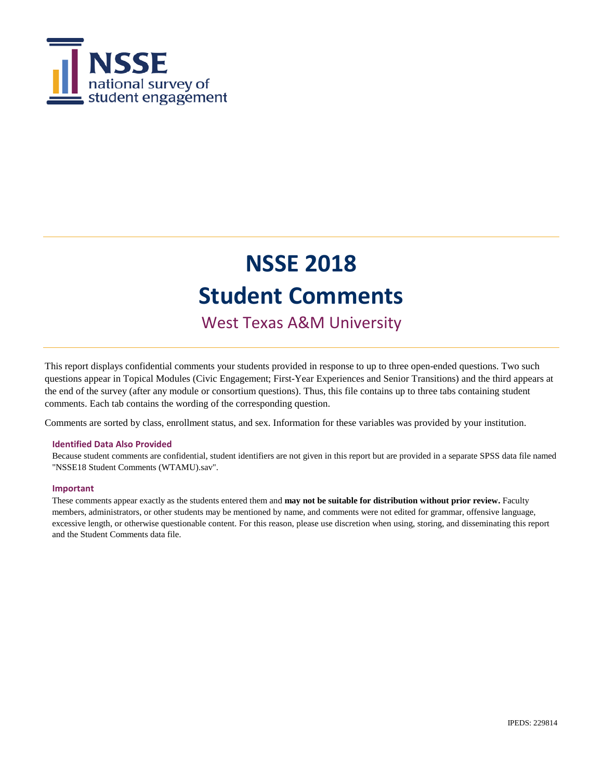

# **NSSE 2018 Student Comments**

West Texas A&M University

This report displays confidential comments your students provided in response to up to three open-ended questions. Two such questions appear in Topical Modules (Civic Engagement; First-Year Experiences and Senior Transitions) and the third appears at the end of the survey (after any module or consortium questions). Thus, this file contains up to three tabs containing student comments. Each tab contains the wording of the corresponding question.

Comments are sorted by class, enrollment status, and sex. Information for these variables was provided by your institution.

### **Identified Data Also Provided**

Because student comments are confidential, student identifiers are not given in this report but are provided in a separate SPSS data file named "NSSE18 Student Comments (WTAMU).sav".

### **Important**

These comments appear exactly as the students entered them and **may not be suitable for distribution without prior review.** Faculty members, administrators, or other students may be mentioned by name, and comments were not edited for grammar, offensive language, excessive length, or otherwise questionable content. For this reason, please use discretion when using, storing, and disseminating this report and the Student Comments data file.